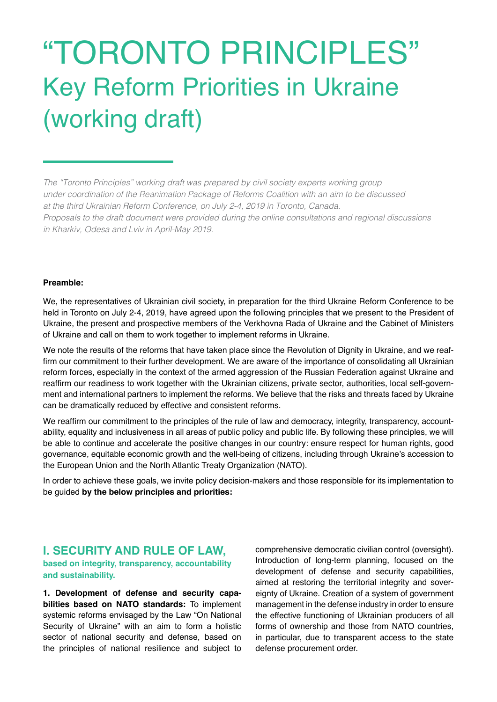# "TORONTO PRINCIPLES" Key Reform Priorities in Ukraine (working draft)

*The "Toronto Principles" working draft was prepared by civil society experts working group under coordination of the Reanimation Package of Reforms Coalition with an aim to be discussed at the third Ukrainian Reform Conference, on July 2-4, 2019 in Toronto, Canada. Proposals to the draft document were provided during the online consultations and regional discussions in Kharkiv, Odesa and Lviv in April-May 2019.* 

#### **Preamble:**

We, the representatives of Ukrainian civil society, in preparation for the third Ukraine Reform Conference to be held in Toronto on July 2-4, 2019, have agreed upon the following principles that we present to the President of Ukraine, the present and prospective members of the Verkhovna Rada of Ukraine and the Cabinet of Ministers of Ukraine and call on them to work together to implement reforms in Ukraine.

We note the results of the reforms that have taken place since the Revolution of Dignity in Ukraine, and we reaffirm our commitment to their further development. We are aware of the importance of consolidating all Ukrainian reform forces, especially in the context of the armed aggression of the Russian Federation against Ukraine and reaffirm our readiness to work together with the Ukrainian citizens, private sector, authorities, local self-government and international partners to implement the reforms. We believe that the risks and threats faced by Ukraine can be dramatically reduced by effective and consistent reforms.

We reaffirm our commitment to the principles of the rule of law and democracy, integrity, transparency, accountability, equality and inclusiveness in all areas of public policy and public life. By following these principles, we will be able to continue and accelerate the positive changes in our country: ensure respect for human rights, good governance, equitable economic growth and the well-being of citizens, including through Ukraine's accession to the European Union and the North Atlantic Treaty Organization (NATO).

In order to achieve these goals, we invite policy decision-makers and those responsible for its implementation to be guided **by the below principles and priorities:**

# **І. SECURITY AND RULE OF LAW,**

**based on integrity, transparency, accountability and sustainability.**

**1. Development of defense and security capabilities based on NATO standards:** To implement systemic reforms envisaged by the Law "On National Security of Ukraine" with an aim to form a holistic sector of national security and defense, based on the principles of national resilience and subject to

comprehensive democratic civilian control (oversight). Introduction of long-term planning, focused on the development of defense and security capabilities, aimed at restoring the territorial integrity and sovereignty of Ukraine. Creation of a system of government management in the defense industry in order to ensure the effective functioning of Ukrainian producers of all forms of ownership and those from NATO countries, in particular, due to transparent access to the state defense procurement order.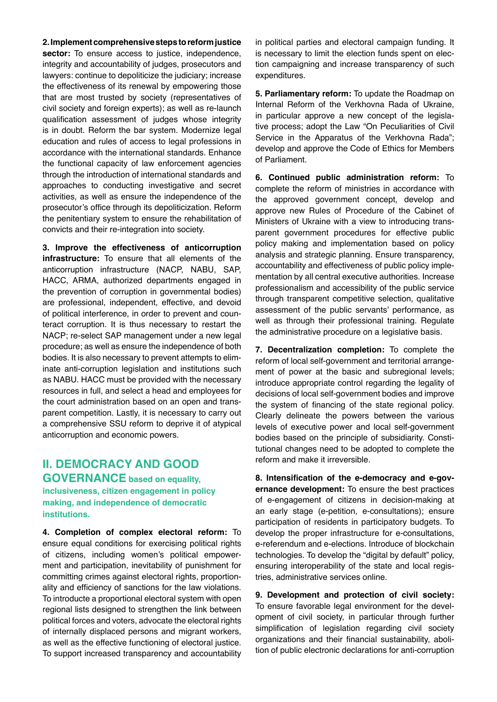**2. Implement comprehensive steps to reform justice sector:** To ensure access to justice, independence, integrity and accountability of judges, prosecutors and lawyers: continue to depoliticize the judiciary; increase the effectiveness of its renewal by empowering those that are most trusted by society (representatives of civil society and foreign experts); as well as re-launch qualification assessment of judges whose integrity is in doubt. Reform the bar system. Modernize legal education and rules of access to legal professions in accordance with the international standards. Enhance the functional capacity of law enforcement agencies through the introduction of international standards and approaches to conducting investigative and secret activities, as well as ensure the independence of the prosecutor's office through its depoliticization. Reform the penitentiary system to ensure the rehabilitation of convicts and their re-integration into society.

**3. Improve the effectiveness of anticorruption infrastructure:** To ensure that all elements of the anticorruption infrastructure (NACP, NABU, SAP, HACC, ARMA, authorized departments engaged in the prevention of corruption in governmental bodies) are professional, independent, effective, and devoid of political interference, in order to prevent and counteract corruption. It is thus necessary to restart the NACP; re-select SAP management under a new legal procedure; as well as ensure the independence of both bodies. It is also necessary to prevent attempts to eliminate anti-corruption legislation and institutions such as NABU. HACC must be provided with the necessary resources in full, and select a head and employees for the court administration based on an open and transparent competition. Lastly, it is necessary to carry out a comprehensive SSU reform to deprive it of atypical anticorruption and economic powers.

# **ІІ. DEMOCRACY AND GOOD**

**GOVERNANCE based on equality, inclusiveness, citizen engagement in policy making, and independence of democratic institutions.**

**4. Completion of complex electoral reform:** To ensure equal conditions for exercising political rights of citizens, including women's political empowerment and participation, inevitability of punishment for committing crimes against electoral rights, proportionality and efficiency of sanctions for the law violations. To introducte a proportional electoral system with open regional lists designed to strengthen the link between political forces and voters, advocate the electoral rights of internally displaced persons and migrant workers, as well as the effective functioning of electoral justice. To support increased transparency and accountability

in political parties and electoral campaign funding. It is necessary to limit the election funds spent on election campaigning and increase transparency of such expenditures.

**5. Parliamentary reform:** To update the Roadmap on Internal Reform of the Verkhovna Rada of Ukraine, in particular approve a new concept of the legislative process; adopt the Law "On Peculiarities of Civil Service in the Apparatus of the Verkhovna Rada"; develop and approve the Code of Ethics for Members of Parliament.

**6. Continued public administration reform:** To complete the reform of ministries in accordance with the approved government concept, develop and approve new Rules of Procedure of the Cabinet of Ministers of Ukraine with a view to introducing transparent government procedures for effective public policy making and implementation based on policy analysis and strategic planning. Ensure transparency, accountability and effectiveness of public policy implementation by all central executive authorities. Increase professionalism and accessibility of the public service through transparent competitive selection, qualitative assessment of the public servants' performance, as well as through their professional training. Regulate the administrative procedure on a legislative basis.

**7. Decentralization completion:** To complete the reform of local self-government and territorial arrangement of power at the basic and subregional levels; introduce appropriate control regarding the legality of decisions of local self-government bodies and improve the system of financing of the state regional policy. Clearly delineate the powers between the various levels of executive power and local self-government bodies based on the principle of subsidiarity. Constitutional changes need to be adopted to complete the reform and make it irreversible.

**8. Intensification of the e-democracy and e-governance development:** To ensure the best practices of e-engagement of citizens in decision-making at an early stage (e-petition, e-consultations); ensure participation of residents in participatory budgets. To develop the proper infrastructure for e-consultations, e-referendum and e-elections. Introduce of blockchain technologies. To develop the "digital by default" policy, ensuring interoperability of the state and local registries, administrative services online.

**9. Development and protection of civil society:**  To ensure favorable legal environment for the development of civil society, in particular through further simplification of legislation regarding civil society organizations and their financial sustainability, abolition of public electronic declarations for anti-corruption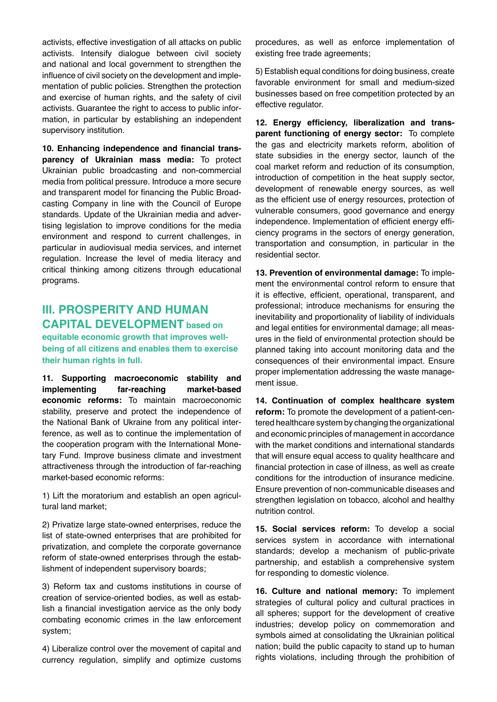activists, effective investigation of all attacks on public activists. Intensify dialogue between civil society and national and local government to strengthen the influence of civil society on the development and implementation of public policies. Strengthen the protection and exercise of human rights, and the safety of civil activists. Guarantee the right to access to public information, in particular by establishing an independent supervisory institution.

**10. Enhancing independence and financial transparency of Ukrainian mass media:** To protect Ukrainian public broadcasting and non-commercial media from political pressure. Introduce a more secure and transparent model for financing the Public Broadcasting Company in line with the Council of Europe standards. Update of the Ukrainian media and advertising legislation to improve conditions for the media environment and respond to current challenges, in particular in audiovisual media services, and internet regulation. Increase the level of media literacy and critical thinking among citizens through educational programs.

# **III. PROSPERITY AND HUMAN CAPITAL DEVELOPMENT based on**

**equitable economic growth that improves wellbeing of all citizens and enables them to exercise their human rights in full.**

**11. Supporting macroeconomic stability and implementing far-reaching market-based economic reforms:** To maintain macroeconomic stability, preserve and protect the independence of the National Bank of Ukraine from any political interference, as well as to continue the implementation of the cooperation program with the International Monetary Fund. Improve business climate and investment attractiveness through the introduction of far-reaching market-based economic reforms:

1) Lift the moratorium and establish an open agricultural land market;

2) Privatize large state-owned enterprises, reduce the list of state-owned enterprises that are prohibited for privatization, and complete the corporate governance reform of state-owned enterprises through the establishment of independent supervisory boards;

3) Reform tax and customs institutions in course of creation of service-oriented bodies, as well as establish a financial investigation aervice as the only body combating economic crimes in the law enforcement system;

4) Liberalize control over the movement of capital and currency regulation, simplify and optimize customs procedures, as well as enforce implementation of existing free trade agreements;

5) Establish equal conditions for doing business, create favorable environment for small and medium-sized businesses based on free competition protected by an effective regulator.

**12. Energy efficiency, liberalization and transparent functioning of energy sector:** To complete the gas and electricity markets reform, abolition of state subsidies in the energy sector, launch of the coal market reform and reduction of its consumption, introduction of competition in the heat supply sector, development of renewable energy sources, as well as the efficient use of energy resources, protection of vulnerable consumers, good governance and energy independence. Implementation of efficient energy efficiency programs in the sectors of energy generation, transportation and consumption, in particular in the residential sector.

**13. Prevention of environmental damage:** To implement the environmental control reform to ensure that it is effective, efficient, operational, transparent, and professional; introduce mechanisms for ensuring the inevitability and proportionality of liability of individuals and legal entities for environmental damage; all measures in the field of environmental protection should be planned taking into account monitoring data and the consequences of their environmental impact. Ensure proper implementation addressing the waste management issue.

**14. Continuation of complex healthcare system reform:** To promote the development of a patient-centered healthcare system by changing the organizational and economic principles of management in accordance with the market conditions and international standards that will ensure equal access to quality healthcare and financial protection in case of illness, as well as create conditions for the introduction of insurance medicine. Ensure prevention of non-communicable diseases and strengthen legislation on tobacco, alcohol and healthy nutrition control.

**15. Social services reform:** To develop a social services system in accordance with international standards; develop a mechanism of public-private partnership, and establish a comprehensive system for responding to domestic violence.

**16. Culture and national memory:** To implement strategies of cultural policy and cultural practices in all spheres; support for the development of creative industries; develop policy on commemoration and symbols aimed at consolidating the Ukrainian political nation; build the public capacity to stand up to human rights violations, including through the prohibition of